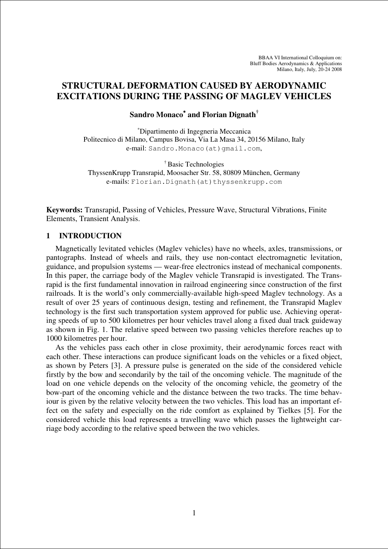# **STRUCTURAL DEFORMATION CAUSED BY AERODYNAMIC EXCITATIONS DURING THE PASSING OF MAGLEV VEHICLES**

#### **Sandro Monaco**<sup>∗</sup> **and Florian Dignath†**

<sup>∗</sup>Dipartimento di Ingegneria Meccanica Politecnico di Milano, Campus Bovisa, Via La Masa 34, 20156 Milano, Italy e-mail: Sandro.Monaco(at)qmail.com,

† Basic Technologies ThyssenKrupp Transrapid, Moosacher Str. 58, 80809 München, Germany e-mails: Florian. Dignath(at)thyssenkrupp.com

**Keywords:** Transrapid, Passing of Vehicles, Pressure Wave, Structural Vibrations, Finite Elements, Transient Analysis.

#### **1 INTRODUCTION**

Magnetically levitated vehicles (Maglev vehicles) have no wheels, axles, transmissions, or pantographs. Instead of wheels and rails, they use non-contact electromagnetic levitation, guidance, and propulsion systems — wear-free electronics instead of mechanical components. In this paper, the carriage body of the Maglev vehicle Transrapid is investigated. The Transrapid is the first fundamental innovation in railroad engineering since construction of the first railroads. It is the world's only commercially-available high-speed Maglev technology. As a result of over 25 years of continuous design, testing and refinement, the Transrapid Maglev technology is the first such transportation system approved for public use. Achieving operating speeds of up to 500 kilometres per hour vehicles travel along a fixed dual track guideway as shown in Fig. 1. The relative speed between two passing vehicles therefore reaches up to 1000 kilometres per hour.

As the vehicles pass each other in close proximity, their aerodynamic forces react with each other. These interactions can produce significant loads on the vehicles or a fixed object, as shown by Peters [3]. A pressure pulse is generated on the side of the considered vehicle firstly by the bow and secondarily by the tail of the oncoming vehicle. The magnitude of the load on one vehicle depends on the velocity of the oncoming vehicle, the geometry of the bow-part of the oncoming vehicle and the distance between the two tracks. The time behaviour is given by the relative velocity between the two vehicles. This load has an important effect on the safety and especially on the ride comfort as explained by Tielkes [5]. For the considered vehicle this load represents a travelling wave which passes the lightweight carriage body according to the relative speed between the two vehicles.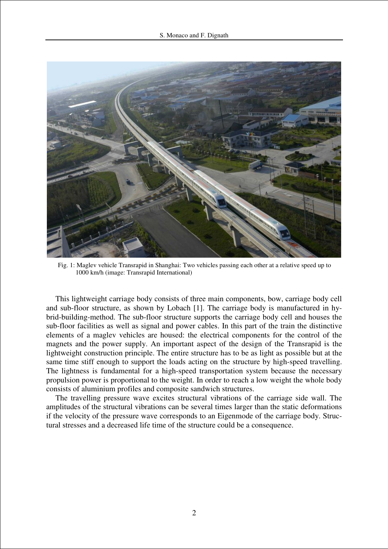

Fig. 1: Maglev vehicle Transrapid in Shanghai: Two vehicles passing each other at a relative speed up to 1000 km/h (image: Transrapid International)

This lightweight carriage body consists of three main components, bow, carriage body cell and sub-floor structure, as shown by Lobach [1]. The carriage body is manufactured in hybrid-building-method. The sub-floor structure supports the carriage body cell and houses the sub-floor facilities as well as signal and power cables. In this part of the train the distinctive elements of a maglev vehicles are housed: the electrical components for the control of the magnets and the power supply. An important aspect of the design of the Transrapid is the lightweight construction principle. The entire structure has to be as light as possible but at the same time stiff enough to support the loads acting on the structure by high-speed travelling. The lightness is fundamental for a high-speed transportation system because the necessary propulsion power is proportional to the weight. In order to reach a low weight the whole body consists of aluminium profiles and composite sandwich structures.

The travelling pressure wave excites structural vibrations of the carriage side wall. The amplitudes of the structural vibrations can be several times larger than the static deformations if the velocity of the pressure wave corresponds to an Eigenmode of the carriage body. Structural stresses and a decreased life time of the structure could be a consequence.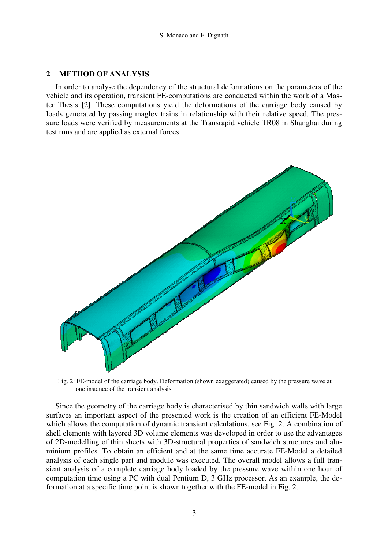## **2 METHOD OF ANALYSIS**

In order to analyse the dependency of the structural deformations on the parameters of the vehicle and its operation, transient FE-computations are conducted within the work of a Master Thesis [2]. These computations yield the deformations of the carriage body caused by loads generated by passing maglev trains in relationship with their relative speed. The pressure loads were verified by measurements at the Transrapid vehicle TR08 in Shanghai during test runs and are applied as external forces.



Fig. 2: FE-model of the carriage body. Deformation (shown exaggerated) caused by the pressure wave at one instance of the transient analysis

Since the geometry of the carriage body is characterised by thin sandwich walls with large surfaces an important aspect of the presented work is the creation of an efficient FE-Model which allows the computation of dynamic transient calculations, see Fig. 2. A combination of shell elements with layered 3D volume elements was developed in order to use the advantages of 2D-modelling of thin sheets with 3D-structural properties of sandwich structures and aluminium profiles. To obtain an efficient and at the same time accurate FE-Model a detailed analysis of each single part and module was executed. The overall model allows a full transient analysis of a complete carriage body loaded by the pressure wave within one hour of computation time using a PC with dual Pentium D, 3 GHz processor. As an example, the deformation at a specific time point is shown together with the FE-model in Fig. 2.